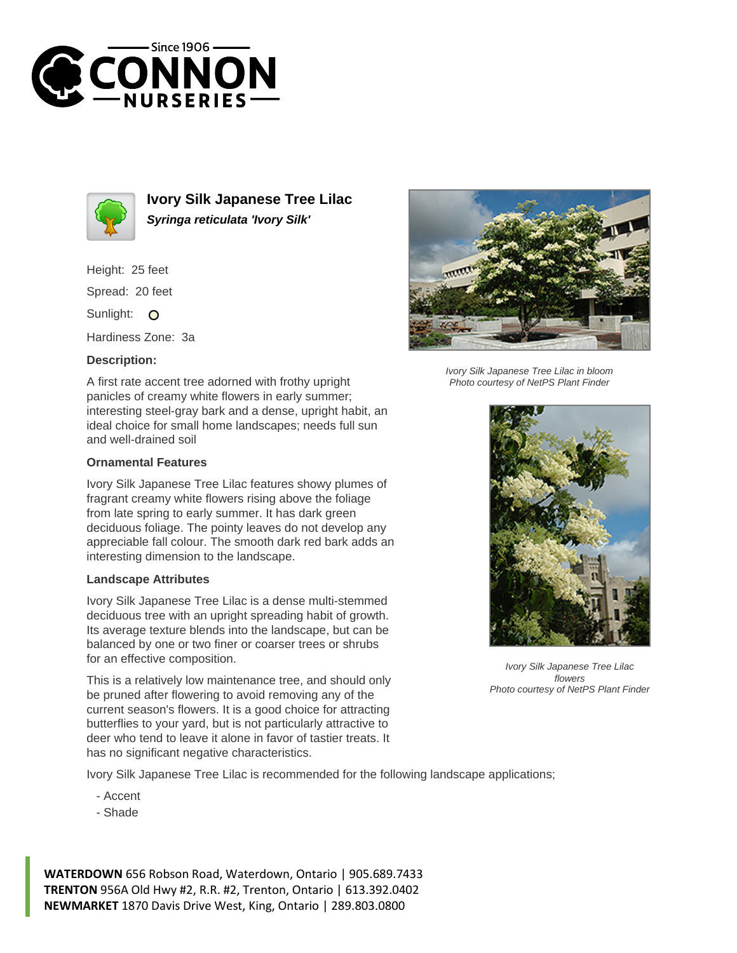



**Ivory Silk Japanese Tree Lilac Syringa reticulata 'Ivory Silk'**

Height: 25 feet Spread: 20 feet

Sunlight: O

Hardiness Zone: 3a

## **Description:**

A first rate accent tree adorned with frothy upright panicles of creamy white flowers in early summer; interesting steel-gray bark and a dense, upright habit, an ideal choice for small home landscapes; needs full sun and well-drained soil

## **Ornamental Features**

Ivory Silk Japanese Tree Lilac features showy plumes of fragrant creamy white flowers rising above the foliage from late spring to early summer. It has dark green deciduous foliage. The pointy leaves do not develop any appreciable fall colour. The smooth dark red bark adds an interesting dimension to the landscape.

## **Landscape Attributes**

Ivory Silk Japanese Tree Lilac is a dense multi-stemmed deciduous tree with an upright spreading habit of growth. Its average texture blends into the landscape, but can be balanced by one or two finer or coarser trees or shrubs for an effective composition.

This is a relatively low maintenance tree, and should only be pruned after flowering to avoid removing any of the current season's flowers. It is a good choice for attracting butterflies to your yard, but is not particularly attractive to deer who tend to leave it alone in favor of tastier treats. It has no significant negative characteristics.

Ivory Silk Japanese Tree Lilac is recommended for the following landscape applications;

- Accent
- Shade

**WATERDOWN** 656 Robson Road, Waterdown, Ontario | 905.689.7433 **TRENTON** 956A Old Hwy #2, R.R. #2, Trenton, Ontario | 613.392.0402 **NEWMARKET** 1870 Davis Drive West, King, Ontario | 289.803.0800



Ivory Silk Japanese Tree Lilac in bloom Photo courtesy of NetPS Plant Finder



Ivory Silk Japanese Tree Lilac flowers Photo courtesy of NetPS Plant Finder